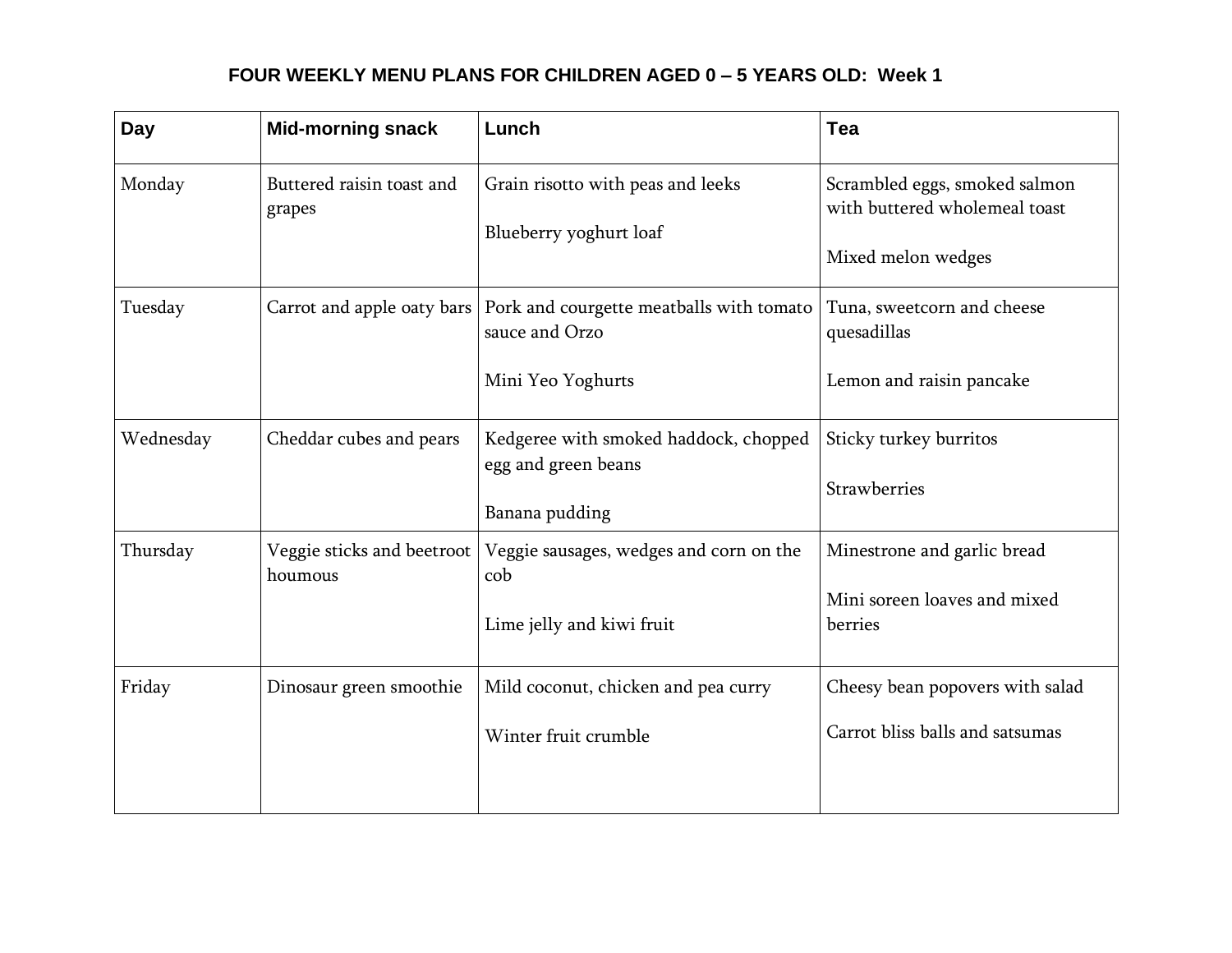#### **FOUR WEEKLY MENU PLANS FOR CHILDREN AGED 0 – 5 YEARS OLD: Week 1**

| Day       | <b>Mid-morning snack</b>              | Lunch                                                                           | Tea                                                                                  |
|-----------|---------------------------------------|---------------------------------------------------------------------------------|--------------------------------------------------------------------------------------|
| Monday    | Buttered raisin toast and<br>grapes   | Grain risotto with peas and leeks<br>Blueberry yoghurt loaf                     | Scrambled eggs, smoked salmon<br>with buttered wholemeal toast<br>Mixed melon wedges |
| Tuesday   | Carrot and apple oaty bars            | Pork and courgette meatballs with tomato<br>sauce and Orzo<br>Mini Yeo Yoghurts | Tuna, sweetcorn and cheese<br>quesadillas<br>Lemon and raisin pancake                |
| Wednesday | Cheddar cubes and pears               | Kedgeree with smoked haddock, chopped<br>egg and green beans<br>Banana pudding  | Sticky turkey burritos<br>Strawberries                                               |
| Thursday  | Veggie sticks and beetroot<br>houmous | Veggie sausages, wedges and corn on the<br>cob<br>Lime jelly and kiwi fruit     | Minestrone and garlic bread<br>Mini soreen loaves and mixed<br>berries               |
| Friday    | Dinosaur green smoothie               | Mild coconut, chicken and pea curry<br>Winter fruit crumble                     | Cheesy bean popovers with salad<br>Carrot bliss balls and satsumas                   |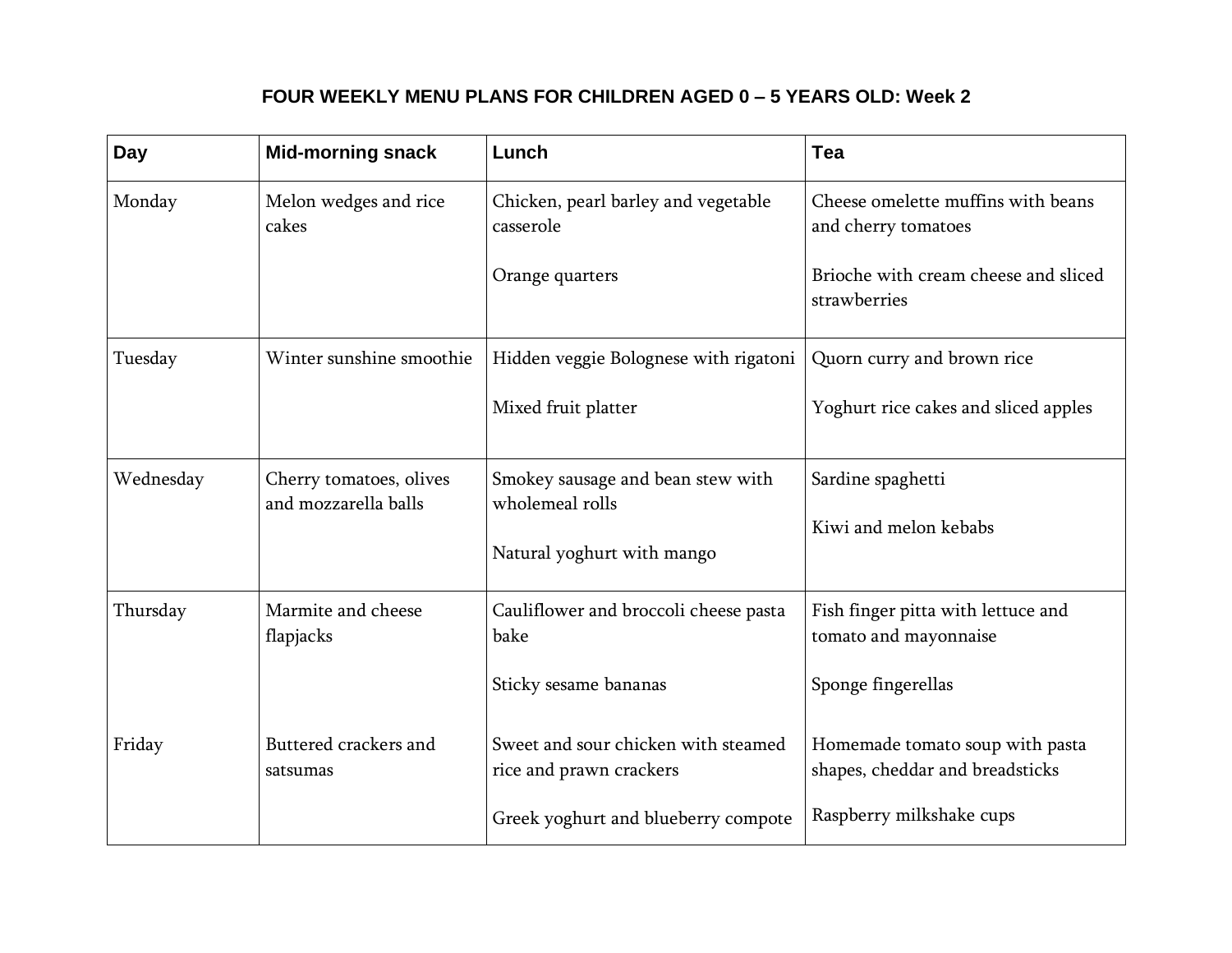#### **FOUR WEEKLY MENU PLANS FOR CHILDREN AGED 0 – 5 YEARS OLD: Week 2**

| <b>Day</b> | <b>Mid-morning snack</b>                        | Lunch                                                          | Tea                                                                |
|------------|-------------------------------------------------|----------------------------------------------------------------|--------------------------------------------------------------------|
| Monday     | Melon wedges and rice<br>cakes                  | Chicken, pearl barley and vegetable<br>casserole               | Cheese omelette muffins with beans<br>and cherry tomatoes          |
|            |                                                 | Orange quarters                                                | Brioche with cream cheese and sliced<br>strawberries               |
| Tuesday    | Winter sunshine smoothie                        | Hidden veggie Bolognese with rigatoni                          | Quorn curry and brown rice                                         |
|            |                                                 | Mixed fruit platter                                            | Yoghurt rice cakes and sliced apples                               |
| Wednesday  | Cherry tomatoes, olives<br>and mozzarella balls | Smokey sausage and bean stew with<br>wholemeal rolls           | Sardine spaghetti                                                  |
|            |                                                 | Natural yoghurt with mango                                     | Kiwi and melon kebabs                                              |
| Thursday   | Marmite and cheese<br>flapjacks                 | Cauliflower and broccoli cheese pasta<br>bake                  | Fish finger pitta with lettuce and<br>tomato and mayonnaise        |
|            |                                                 | Sticky sesame bananas                                          | Sponge fingerellas                                                 |
| Friday     | Buttered crackers and<br>satsumas               | Sweet and sour chicken with steamed<br>rice and prawn crackers | Homemade tomato soup with pasta<br>shapes, cheddar and breadsticks |
|            |                                                 | Greek yoghurt and blueberry compote                            | Raspberry milkshake cups                                           |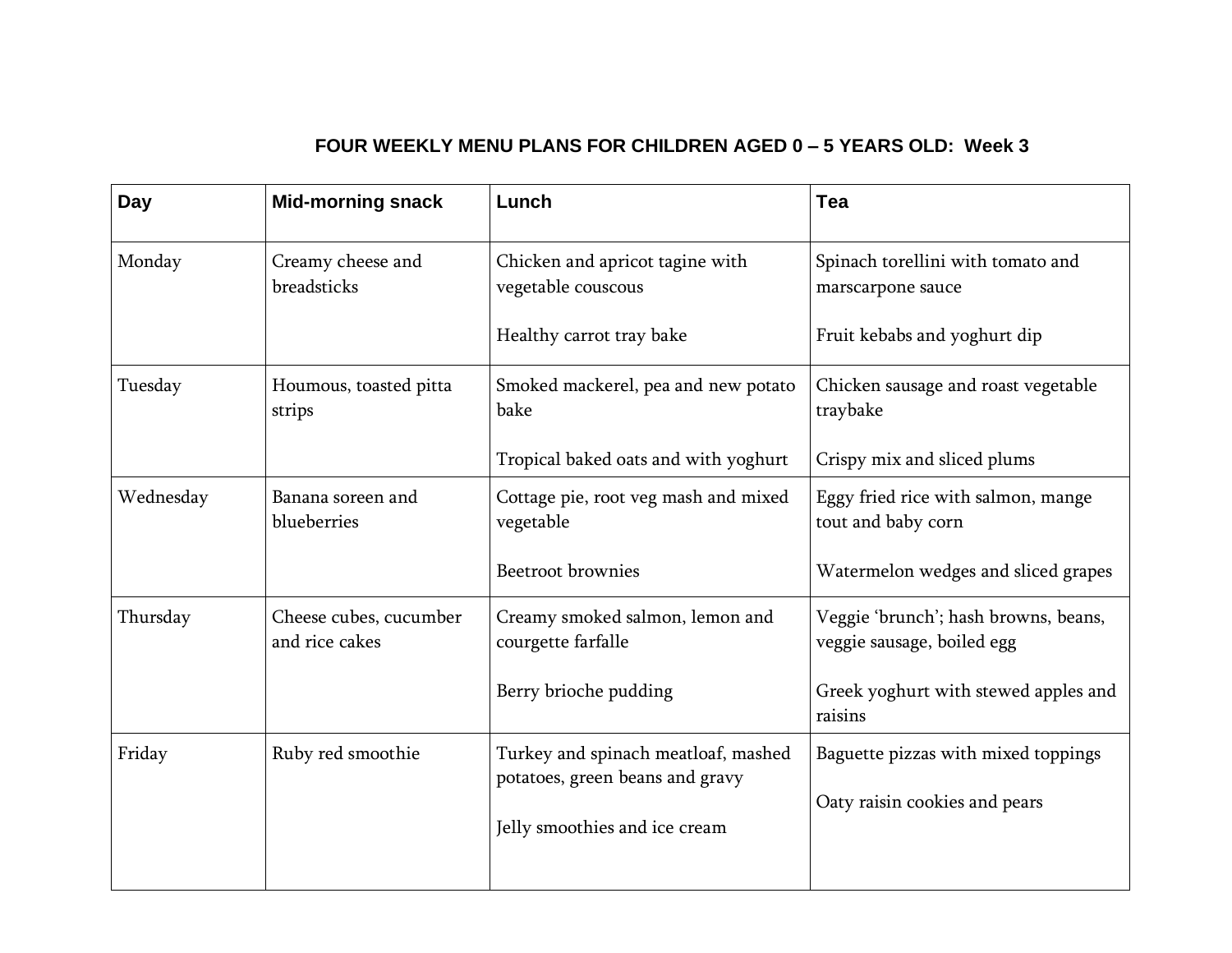### **FOUR WEEKLY MENU PLANS FOR CHILDREN AGED 0 – 5 YEARS OLD: Week 3**

| Day       | <b>Mid-morning snack</b>                 | Lunch                                                                  | Tea                                                                |
|-----------|------------------------------------------|------------------------------------------------------------------------|--------------------------------------------------------------------|
| Monday    | Creamy cheese and<br>breadsticks         | Chicken and apricot tagine with<br>vegetable couscous                  | Spinach torellini with tomato and<br>marscarpone sauce             |
|           |                                          | Healthy carrot tray bake                                               | Fruit kebabs and yoghurt dip                                       |
| Tuesday   | Houmous, toasted pitta<br>strips         | Smoked mackerel, pea and new potato<br>bake                            | Chicken sausage and roast vegetable<br>traybake                    |
|           |                                          | Tropical baked oats and with yoghurt                                   | Crispy mix and sliced plums                                        |
| Wednesday | Banana soreen and<br>blueberries         | Cottage pie, root veg mash and mixed<br>vegetable                      | Eggy fried rice with salmon, mange<br>tout and baby corn           |
|           |                                          | Beetroot brownies                                                      | Watermelon wedges and sliced grapes                                |
| Thursday  | Cheese cubes, cucumber<br>and rice cakes | Creamy smoked salmon, lemon and<br>courgette farfalle                  | Veggie 'brunch'; hash browns, beans,<br>veggie sausage, boiled egg |
|           |                                          | Berry brioche pudding                                                  | Greek yoghurt with stewed apples and<br>raisins                    |
| Friday    | Ruby red smoothie                        | Turkey and spinach meatloaf, mashed<br>potatoes, green beans and gravy | Baguette pizzas with mixed toppings                                |
|           |                                          | Jelly smoothies and ice cream                                          | Oaty raisin cookies and pears                                      |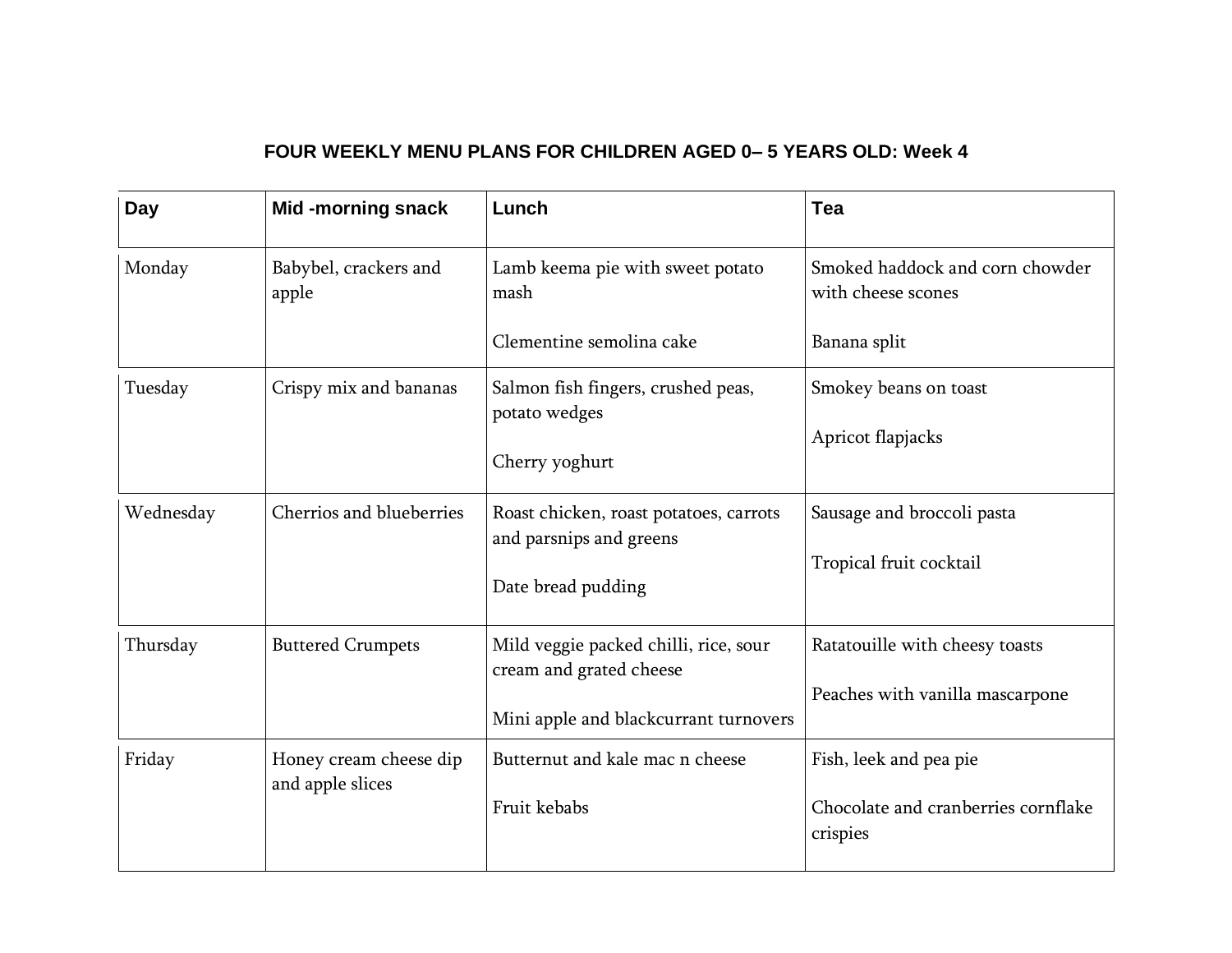#### **FOUR WEEKLY MENU PLANS FOR CHILDREN AGED 0– 5 YEARS OLD: Week 4**

| Day       | <b>Mid-morning snack</b>                   | Lunch                                                                                                     | Tea                                                                       |
|-----------|--------------------------------------------|-----------------------------------------------------------------------------------------------------------|---------------------------------------------------------------------------|
| Monday    | Babybel, crackers and<br>apple             | Lamb keema pie with sweet potato<br>mash                                                                  | Smoked haddock and corn chowder<br>with cheese scones                     |
|           |                                            | Clementine semolina cake                                                                                  | Banana split                                                              |
| Tuesday   | Crispy mix and bananas                     | Salmon fish fingers, crushed peas,<br>potato wedges<br>Cherry yoghurt                                     | Smokey beans on toast<br>Apricot flapjacks                                |
| Wednesday | Cherrios and blueberries                   | Roast chicken, roast potatoes, carrots<br>and parsnips and greens<br>Date bread pudding                   | Sausage and broccoli pasta<br>Tropical fruit cocktail                     |
| Thursday  | <b>Buttered Crumpets</b>                   | Mild veggie packed chilli, rice, sour<br>cream and grated cheese<br>Mini apple and blackcurrant turnovers | Ratatouille with cheesy toasts<br>Peaches with vanilla mascarpone         |
| Friday    | Honey cream cheese dip<br>and apple slices | Butternut and kale mac n cheese<br>Fruit kebabs                                                           | Fish, leek and pea pie<br>Chocolate and cranberries cornflake<br>crispies |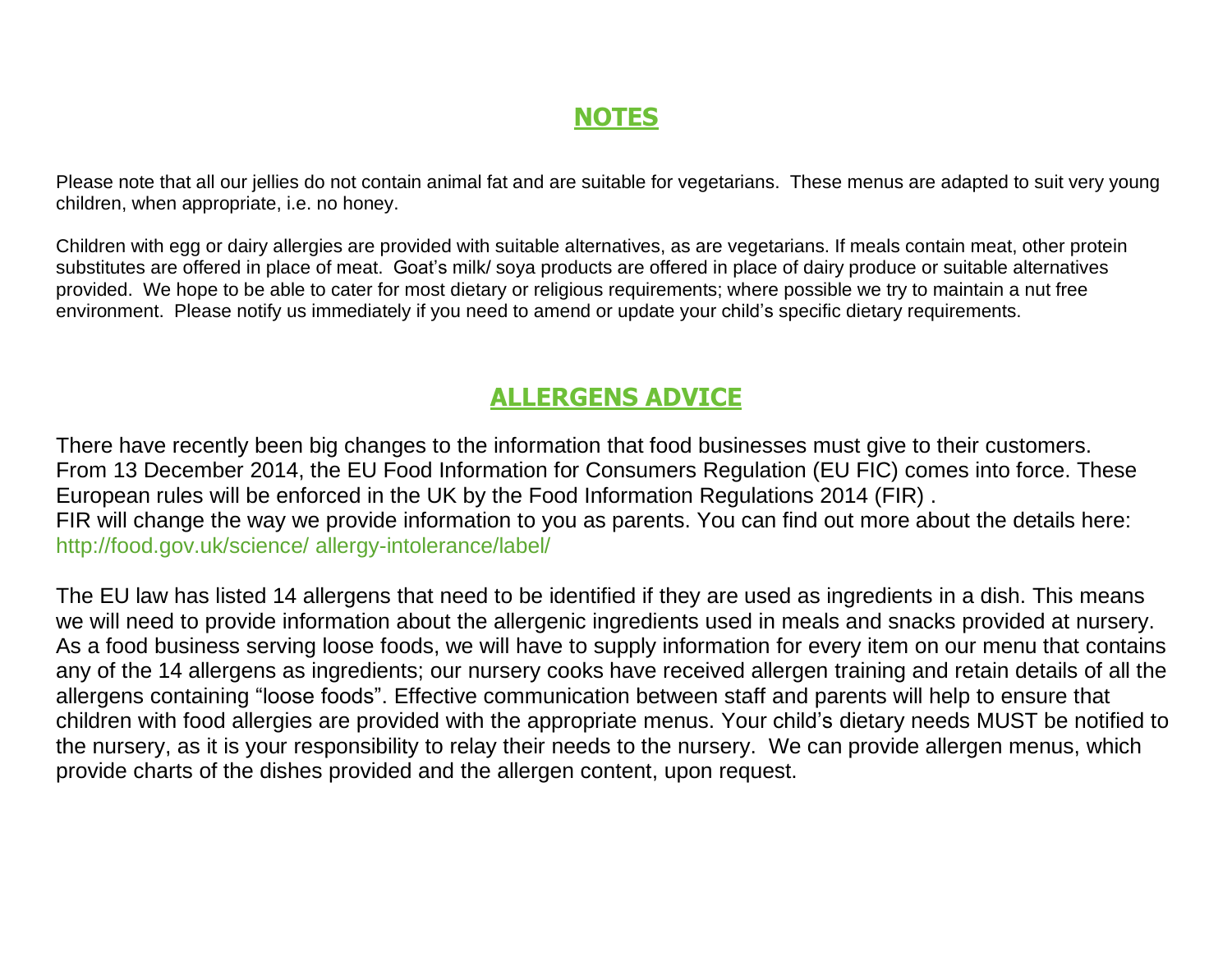## **NOTES**

Please note that all our jellies do not contain animal fat and are suitable for vegetarians. These menus are adapted to suit very young children, when appropriate, i.e. no honey.

Children with egg or dairy allergies are provided with suitable alternatives, as are vegetarians. If meals contain meat, other protein substitutes are offered in place of meat. Goat's milk/ soya products are offered in place of dairy produce or suitable alternatives provided. We hope to be able to cater for most dietary or religious requirements; where possible we try to maintain a nut free environment. Please notify us immediately if you need to amend or update your child's specific dietary requirements.

## **ALLERGENS ADVICE**

There have recently been big changes to the information that food businesses must give to their customers. From 13 December 2014, the EU Food Information for Consumers Regulation (EU FIC) comes into force. These European rules will be enforced in the UK by the Food Information Regulations 2014 (FIR) . FIR will change the way we provide information to you as parents. You can find out more about the details here: http://food.gov.uk/science/ allergy-intolerance/label/

The EU law has listed 14 allergens that need to be identified if they are used as ingredients in a dish. This means we will need to provide information about the allergenic ingredients used in meals and snacks provided at nursery. As a food business serving loose foods, we will have to supply information for every item on our menu that contains any of the 14 allergens as ingredients; our nursery cooks have received allergen training and retain details of all the allergens containing "loose foods". Effective communication between staff and parents will help to ensure that children with food allergies are provided with the appropriate menus. Your child's dietary needs MUST be notified to the nursery, as it is your responsibility to relay their needs to the nursery. We can provide allergen menus, which provide charts of the dishes provided and the allergen content, upon request.